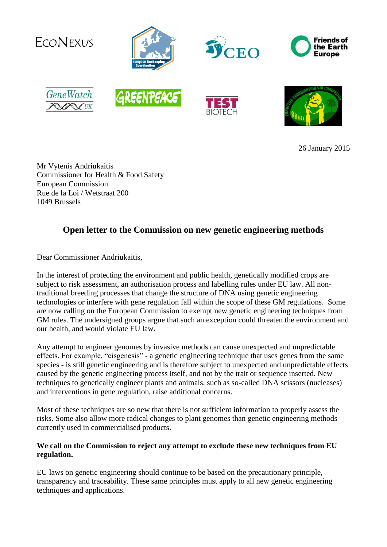

26 January 2015

Mr Vytenis Andriukaitis Commissioner for Health & Food Safety European Commission Rue de la Loi / Wetstraat 200 1049 Brussels

## **Open letter to the Commission on new genetic engineering methods**

Dear Commissioner Andriukaitis,

In the interest of protecting the environment and public health, genetically modified crops are subject to risk assessment, an authorisation process and labelling rules under EU law. All nontraditional breeding processes that change the structure of DNA using genetic engineering technologies or interfere with gene regulation fall within the scope of these GM regulations. Some are now calling on the European Commission to exempt new genetic engineering techniques from GM rules. The undersigned groups argue that such an exception could threaten the environment and our health, and would violate EU law.

Any attempt to engineer genomes by invasive methods can cause unexpected and unpredictable effects. For example, "cisgenesis" - a genetic engineering technique that uses genes from the same species - is still genetic engineering and is therefore subject to unexpected and unpredictable effects caused by the genetic engineering process itself, and not by the trait or sequence inserted. New techniques to genetically engineer plants and animals, such as so-called DNA scissors (nucleases) and interventions in gene regulation, raise additional concerns.

Most of these techniques are so new that there is not sufficient information to properly assess the risks. Some also allow more radical changes to plant genomes than genetic engineering methods currently used in commercialised products.

## **We call on the Commission to reject any attempt to exclude these new techniques from EU regulation.**

EU laws on genetic engineering should continue to be based on the precautionary principle, transparency and traceability. These same principles must apply to all new genetic engineering techniques and applications.